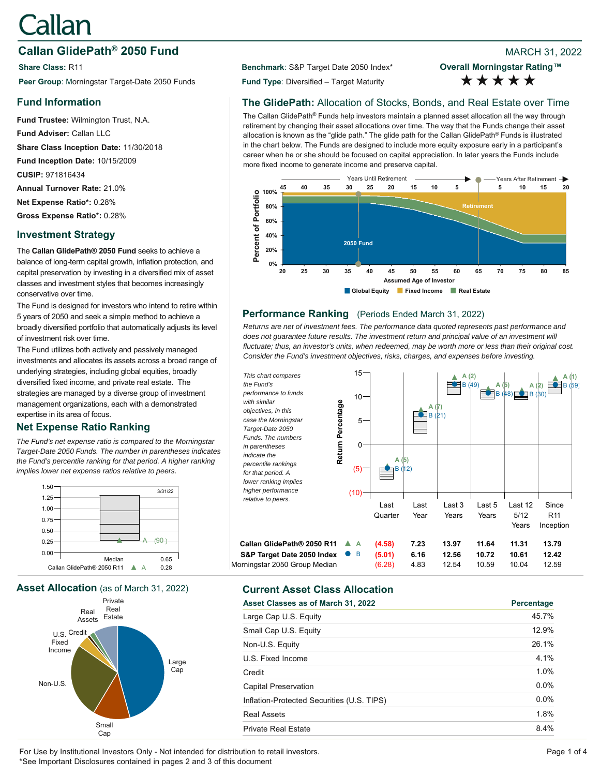# Callan

# **Callan GlidePath<sup>®</sup> 2050 Fund Branch 2002 8 2022 8 2022 8 2022 8 2022**

**Share Class:** R11 **Benchmark**: S&P Target Date 2050 Index\* Peer Group: Morningstar Target-Date 2050 Funds **Fund Type**: Diversified – Target Maturity

# **Fund Information**

**Fund Trustee:** Wilmington Trust, N.A. **Fund Adviser:** Callan LLC **Share Class Inception Date:** 11/30/2018 **Fund Inception Date:** 10/15/2009 **CUSIP:** 971816434 **Annual Turnover Rate:** 21.0% **Net Expense Ratio\*:** 0.28% **Gross Expense Ratio\*:** 0.28%

# **Investment Strategy**

The **Callan GlidePath® 2050 Fund** seeks to achieve a balance of long-term capital growth, inflation protection, and capital preservation by investing in a diversified mix of asset classes and investment styles that becomes increasingly conservative over time.

The Fund is designed for investors who intend to retire within 5 years of 2050 and seek a simple method to achieve a broadly diversified portfolio that automatically adjusts its level of investment risk over time.

The Fund utilizes both actively and passively managed investments and allocates its assets across a broad range of underlying strategies, including global equities, broadly diversified fixed income, and private real estate. The strategies are managed by a diverse group of investment management organizations, each with a demonstrated expertise in its area of focus.

# **Net Expense Ratio Ranking**

*The Fund's net expense ratio is compared to the Morningstar Target-Date 2050 Funds. The number in parentheses indicates the Fund's percentile ranking for that period. A higher ranking implies lower net expense ratios relative to peers.*



**Asset Allocation** (as of March 31, 2022) **Current Asset Class Allocation**



**Overall Morningstar Rating™** \*\*\*\*\*

# **The GlidePath:** Allocation of Stocks, Bonds, and Real Estate over Time

The Callan GlidePath® Funds help investors maintain a planned asset allocation all the way through retirement by changing their asset allocations over time. The way that the Funds change their asset allocation is known as the "glide path." The glide path for the Callan GlidePath® Funds is illustrated in the chart below. The Funds are designed to include more equity exposure early in a participant's career when he or she should be focused on capital appreciation. In later years the Funds include more fixed income to generate income and preserve capital.



# **Performance Ranking** (Periods Ended March 31, 2022)

*Returns are net of investment fees. The performance data quoted represents past performance and*  does not quarantee future results. The investment return and principal value of an investment will *fluctuate; thus, an investor's units, when redeemed, may be worth more or less than their original cost. Consider the Fund's investment objectives, risks, charges, and expenses before investing.*



| Asset Classes as of March 31, 2022         | Percentage |
|--------------------------------------------|------------|
| Large Cap U.S. Equity                      | 45.7%      |
| Small Cap U.S. Equity                      | 12.9%      |
| Non-U.S. Equity                            | 26.1%      |
| U.S. Fixed Income                          | 4.1%       |
| Credit                                     | 1.0%       |
| Capital Preservation                       | $0.0\%$    |
| Inflation-Protected Securities (U.S. TIPS) | $0.0\%$    |
| <b>Real Assets</b>                         | 1.8%       |
| <b>Private Real Estate</b>                 | 8.4%       |

For Use by Institutional Investors Only - Not intended for distribution to retail investors. Page 1 of 4 \*See Important Disclosures contained in pages 2 and 3 of this document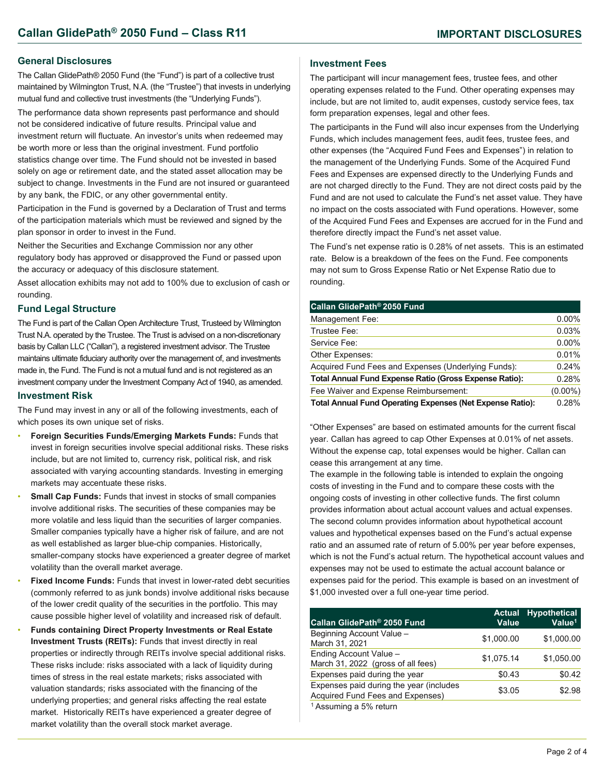#### **General Disclosures**

The Callan GlidePath® 2050 Fund (the "Fund") is part of a collective trust maintained by Wilmington Trust, N.A. (the "Trustee") that invests in underlying mutual fund and collective trust investments (the "Underlying Funds").

The performance data shown represents past performance and should not be considered indicative of future results. Principal value and investment return will fluctuate. An investor's units when redeemed may be worth more or less than the original investment. Fund portfolio statistics change over time. The Fund should not be invested in based solely on age or retirement date, and the stated asset allocation may be subject to change. Investments in the Fund are not insured or guaranteed by any bank, the FDIC, or any other governmental entity.

Participation in the Fund is governed by a Declaration of Trust and terms of the participation materials which must be reviewed and signed by the plan sponsor in order to invest in the Fund.

Neither the Securities and Exchange Commission nor any other regulatory body has approved or disapproved the Fund or passed upon the accuracy or adequacy of this disclosure statement.

Asset allocation exhibits may not add to 100% due to exclusion of cash or rounding.

#### **Fund Legal Structure**

The Fund is part of the Callan Open Architecture Trust, Trusteed by Wilmington Trust N.A. operated by the Trustee. The Trust is advised on a non-discretionary basis by Callan LLC ("Callan"), a registered investment advisor. The Trustee maintains ultimate fiduciary authority over the management of, and investments made in, the Fund. The Fund is not a mutual fund and is not registered as an investment company under the Investment Company Act of 1940, as amended.

#### **Investment Risk**

The Fund may invest in any or all of the following investments, each of which poses its own unique set of risks.

- **Foreign Securities Funds/Emerging Markets Funds:** Funds that invest in foreign securities involve special additional risks. These risks include, but are not limited to, currency risk, political risk, and risk associated with varying accounting standards. Investing in emerging markets may accentuate these risks.
- **Small Cap Funds: Funds that invest in stocks of small companies** involve additional risks. The securities of these companies may be more volatile and less liquid than the securities of larger companies. Smaller companies typically have a higher risk of failure, and are not as well established as larger blue-chip companies. Historically, smaller-company stocks have experienced a greater degree of market volatility than the overall market average.
- **Fixed Income Funds:** Funds that invest in lower-rated debt securities (commonly referred to as junk bonds) involve additional risks because of the lower credit quality of the securities in the portfolio. This may cause possible higher level of volatility and increased risk of default.
- **Funds containing Direct Property Investments or Real Estate Investment Trusts (REITs):** Funds that invest directly in real properties or indirectly through REITs involve special additional risks. These risks include: risks associated with a lack of liquidity during times of stress in the real estate markets; risks associated with valuation standards; risks associated with the financing of the underlying properties; and general risks affecting the real estate market. Historically REITs have experienced a greater degree of market volatility than the overall stock market average.

### **Investment Fees**

The participant will incur management fees, trustee fees, and other operating expenses related to the Fund. Other operating expenses may include, but are not limited to, audit expenses, custody service fees, tax form preparation expenses, legal and other fees.

The participants in the Fund will also incur expenses from the Underlying Funds, which includes management fees, audit fees, trustee fees, and other expenses (the "Acquired Fund Fees and Expenses") in relation to the management of the Underlying Funds. Some of the Acquired Fund Fees and Expenses are expensed directly to the Underlying Funds and are not charged directly to the Fund. They are not direct costs paid by the Fund and are not used to calculate the Fund's net asset value. They have no impact on the costs associated with Fund operations. However, some of the Acquired Fund Fees and Expenses are accrued for in the Fund and therefore directly impact the Fund's net asset value.

The Fund's net expense ratio is 0.28% of net assets. This is an estimated rate. Below is a breakdown of the fees on the Fund. Fee components may not sum to Gross Expense Ratio or Net Expense Ratio due to rounding.

| Callan GlidePath® 2050 Fund                                      |            |
|------------------------------------------------------------------|------------|
| Management Fee:                                                  | $0.00\%$   |
| Trustee Fee:                                                     | 0.03%      |
| Service Fee:                                                     | $0.00\%$   |
| Other Expenses:                                                  | 0.01%      |
| Acquired Fund Fees and Expenses (Underlying Funds):              | 0.24%      |
| <b>Total Annual Fund Expense Ratio (Gross Expense Ratio):</b>    | 0.28%      |
| Fee Waiver and Expense Reimbursement:                            | $(0.00\%)$ |
| <b>Total Annual Fund Operating Expenses (Net Expense Ratio):</b> | 0.28%      |

"Other Expenses" are based on estimated amounts for the current fiscal year. Callan has agreed to cap Other Expenses at 0.01% of net assets. Without the expense cap, total expenses would be higher. Callan can cease this arrangement at any time.

The example in the following table is intended to explain the ongoing costs of investing in the Fund and to compare these costs with the ongoing costs of investing in other collective funds. The first column provides information about actual account values and actual expenses. The second column provides information about hypothetical account values and hypothetical expenses based on the Fund's actual expense ratio and an assumed rate of return of 5.00% per year before expenses, which is not the Fund's actual return. The hypothetical account values and expenses may not be used to estimate the actual account balance or expenses paid for the period. This example is based on an investment of \$1,000 invested over a full one-year time period.

| Callan GlidePath <sup>®</sup> 2050 Fund                                     | <b>Actual</b><br>Value | <b>Hypothetical</b><br>Value <sup>1</sup> |
|-----------------------------------------------------------------------------|------------------------|-------------------------------------------|
| Beginning Account Value -<br>March 31, 2021                                 | \$1,000.00             | \$1,000.00                                |
| Ending Account Value -<br>March 31, 2022 (gross of all fees)                | \$1,075.14             | \$1,050.00                                |
| Expenses paid during the year                                               | \$0.43                 | \$0.42                                    |
| Expenses paid during the year (includes<br>Acquired Fund Fees and Expenses) | \$3.05                 | \$2.98                                    |
| <sup>1</sup> Assuming a 5% return                                           |                        |                                           |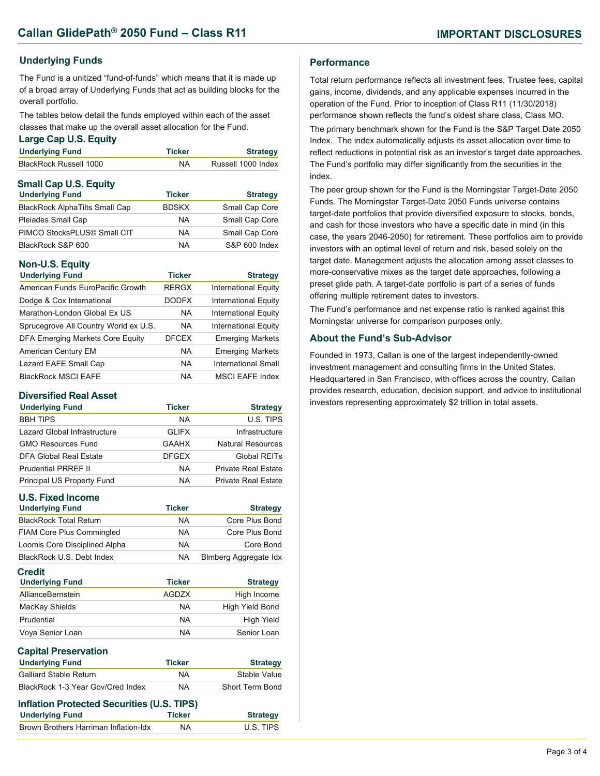# **Underlying Funds**

The Fund is a unitized "fund-of-funds" which means that it is made up of a broad array of Underlying Funds that act as building blocks for the overall portfolio.

The tables below detail the funds employed within each of the asset classes that make up the overall asset allocation for the Fund.

#### **Large Cap U.S. Equity**

| <b>Underlying Fund</b>        | Ticker        | <b>Strategy</b>    |
|-------------------------------|---------------|--------------------|
| <b>BlackRock Russell 1000</b> | NA.           | Russell 1000 Index |
| <b>Small Cap U.S. Equity</b>  |               |                    |
| <b>Underlying Fund</b>        | <b>Ticker</b> | <b>Strategy</b>    |

| <b>BlackRock AlphaTilts Small Cap</b> | <b>BDSKX</b> | Small Cap Core |
|---------------------------------------|--------------|----------------|
| Pleiades Small Cap                    | <b>NA</b>    | Small Cap Core |
| PIMCO StocksPLUS© Small CIT           | <b>NA</b>    | Small Cap Core |
| BlackRock S&P 600                     | <b>NA</b>    | S&P 600 Index  |

# **Non-U.S. Equity**

| <b>Underlying Fund</b>                | <b>Ticker</b> | <b>Strategy</b>             |
|---------------------------------------|---------------|-----------------------------|
| American Funds EuroPacific Growth     | <b>RERGX</b>  | <b>International Equity</b> |
| Dodge & Cox International             | <b>DODFX</b>  | <b>International Equity</b> |
| Marathon-London Global Ex US          | <b>NA</b>     | <b>International Equity</b> |
| Sprucegrove All Country World ex U.S. | <b>NA</b>     | <b>International Equity</b> |
| DFA Emerging Markets Core Equity      | <b>DFCEX</b>  | <b>Emerging Markets</b>     |
| American Century EM                   | <b>NA</b>     | <b>Emerging Markets</b>     |
| Lazard EAFE Small Cap                 | <b>NA</b>     | International Small         |
| <b>BlackRock MSCI EAFE</b>            | NA            | <b>MSCI EAFE Index</b>      |

### **Diversified Real Asset**

| <b>Underlying Fund</b>       | <b>Ticker</b> | <b>Strategy</b>            |
|------------------------------|---------------|----------------------------|
| <b>BBH TIPS</b>              | <b>NA</b>     | U.S. TIPS                  |
| Lazard Global Infrastructure | <b>GLIFX</b>  | Infrastructure             |
| <b>GMO Resources Fund</b>    | <b>GAAHX</b>  | Natural Resources          |
| DFA Global Real Estate       | <b>DFGEX</b>  | Global REITs               |
| <b>Prudential PRREF II</b>   | <b>NA</b>     | <b>Private Real Estate</b> |
| Principal US Property Fund   | <b>NA</b>     | <b>Private Real Estate</b> |

| <b>U.S. Fixed Income</b>                   |               |                              |
|--------------------------------------------|---------------|------------------------------|
| <b>Underlying Fund</b>                     | <b>Ticker</b> | <b>Strategy</b>              |
| <b>BlackRock Total Return</b>              | NA.           | Core Plus Bond               |
| <b>FIAM Core Plus Commingled</b>           | <b>NA</b>     | Core Plus Bond               |
| Loomis Core Disciplined Alpha              | <b>NA</b>     | Core Bond                    |
| BlackRock U.S. Debt Index                  | <b>NA</b>     | <b>Blmberg Aggregate Idx</b> |
| <b>Credit</b><br><b>Underlying Fund</b>    | <b>Ticker</b> | <b>Strategy</b>              |
| AllianceBernstein                          | <b>AGDZX</b>  | High Income                  |
| MacKay Shields                             | <b>NA</b>     | High Yield Bond              |
| Prudential                                 | <b>NA</b>     | High Yield                   |
| Voya Senior Loan                           | NA.           | Senior Loan                  |
| <b>Capital Preservation</b>                |               |                              |
| <b>Underlying Fund</b>                     | <b>Ticker</b> | <b>Strategy</b>              |
| <b>Galliard Stable Return</b>              | <b>NA</b>     | Stable Value                 |
| BlackRock 1-3 Year Gov/Cred Index          | <b>NA</b>     | <b>Short Term Bond</b>       |
| Inflation Protected Securities (U.S. TIPS) |               |                              |
| <b>Underlying Fund</b>                     | <b>Ticker</b> | <b>Strategy</b>              |
| Brown Brothers Harriman Inflation-Idx      | ΝA            | U.S. TIPS                    |

### **Performance**

Total return performance reflects all investment fees, Trustee fees, capital gains, income, dividends, and any applicable expenses incurred in the operation of the Fund. Prior to inception of Class R11 (11/30/2018) performance shown reflects the fund's oldest share class, Class MO.

The primary benchmark shown for the Fund is the S&P Target Date 2050 Index. The index automatically adjusts its asset allocation over time to reflect reductions in potential risk as an investor's target date approaches. The Fund's portfolio may differ significantly from the securities in the index.

The peer group shown for the Fund is the Morningstar Target-Date 2050 Funds. The Morningstar Target-Date 2050 Funds universe contains target-date portfolios that provide diversified exposure to stocks, bonds, and cash for those investors who have a specific date in mind (in this case, the years 2046-2050) for retirement. These portfolios aim to provide investors with an optimal level of return and risk, based solely on the target date. Management adjusts the allocation among asset classes to more-conservative mixes as the target date approaches, following a preset glide path. A target-date portfolio is part of a series of funds offering multiple retirement dates to investors.

The Fund's performance and net expense ratio is ranked against this Morningstar universe for comparison purposes only.

### **About the Fund's Sub-Advisor**

Founded in 1973, Callan is one of the largest independently-owned investment management and consulting firms in the United States. Headquartered in San Francisco, with offices across the country, Callan provides research, education, decision support, and advice to institutional investors representing approximately \$2 trillion in total assets.